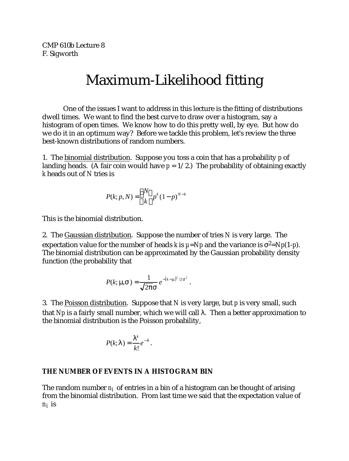CMP 610b Lecture 8 F. Sigworth

# Maximum-Likelihood fitting

One of the issues I want to address in this lecture is the fitting of distributions dwell times. We want to find the best curve to draw over a histogram, say a histogram of open times. We know how to do this pretty well, by eye. But how do we do it in an optimum way? Before we tackle this problem, let's review the three best-known distributions of random numbers.

1. The binomial distribution. Suppose you toss a coin that has a probability *p* of landing heads. (A fair coin would have  $p = 1/2$ .) The probability of obtaining exactly *k* heads out of *N* tries is

$$
P(k; p, N) = \frac{N}{k} p^{k} (1-p)^{N-k}
$$

This is the binomial distribution.

2. The Gaussian distribution. Suppose the number of tries *N* is very large. The expectation value for the number of heads *k* is  $\mu = Np$  and the variance is  $\lambda = Np(1-p)$ . The binomial distribution can be approximated by the Gaussian probability density function (the probability that

$$
P(k; \mu, ) = \frac{1}{\sqrt{2}} e^{-(k-\mu)^2/2^{2}}.
$$

3. The Poisson distribution. Suppose that *N* is very large, but *p* is very small, such that *Np* is a fairly small number, which we will call . Then a better approximation to the binomial distribution is the Poisson probability,

$$
P(k; ) = \frac{k}{k!}e^{-}.
$$

# **THE NUMBER OF EVENTS IN A HISTOGRAM BIN**

The random number  $n_i$  of entries in a bin of a histogram can be thought of arising from the binomial distribution. From last time we said that the expectation value of *ni* is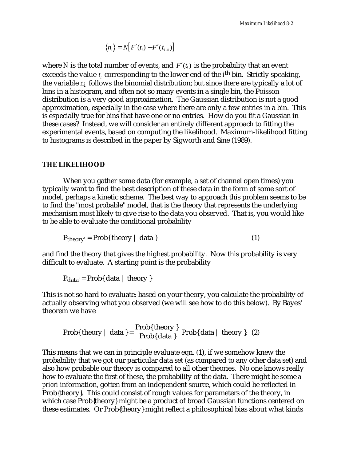$$
\left\langle n_{i}\right\rangle =N\bigl[F\left(t_{i}\right)-F\left(t_{i+1}\right)\bigr]
$$

where  $N$  is the total number of events, and  $F$   $(t_{\scriptscriptstyle\hat{i}})$  is the probability that an event exceeds the value  $t_i$  corresponding to the lower end of the *i*<sup>th</sup> bin. Strictly speaking, the variable *ni* follows the binomial distribution; but since there are typically a lot of bins in a histogram, and often not so many events in a single bin, the Poisson distribution is a very good approximation. The Gaussian distribution is not a good approximation, especially in the case where there are only a few entries in a bin. This is especially true for bins that have one or no entries. How do you fit a Gaussian in these cases? Instead, we will consider an entirely different approach to fitting the experimental events, based on computing the likelihood. Maximum-likelihood fitting to histograms is described in the paper by Sigworth and Sine (1989).

## **THE LIKELIHOOD**

When you gather some data (for example, a set of channel open times) you typically want to find the best description of these data in the form of some sort of model, perhaps a kinetic scheme. The best way to approach this problem seems to be to find the "most probable" model, that is the theory that represents the underlying mechanism most likely to give rise to the data you observed. That is, you would like to be able to evaluate the conditional probability

 $P_{theory'} = Prob{ theory \mid data \}$  (1)

and find the theory that gives the highest probability. Now this probability is very difficult to evaluate. A starting point is the probability

$$
P_{data'} = Prob{ data | theory }
$$

This is not so hard to evaluate: based on your theory, you calculate the probability of actually observing what you observed (we will see how to do this below). By Bayes' theorem we have

Prob{ theory | data } =  $\frac{\text{Prob}\{\text{theory}\}}{\text{Prob}\{\text{data}\}\}\}$  Prob{ data | theory }. (2)

This means that we can in principle evaluate eqn. (1), if we somehow knew the probability that we got our particular data set (as compared to any other data set) and also how probable our theory is compared to all other theories. No one knows really how to evaluate the first of these, the probability of the data. There might be some *a priori* information, gotten from an independent source, which could be reflected in Prob{theory}. This could consist of rough values for parameters of the theory, in which case Prob{theory} might be a product of broad Gaussian functions centered on these estimates. Or Prob{theory} might reflect a philosophical bias about what kinds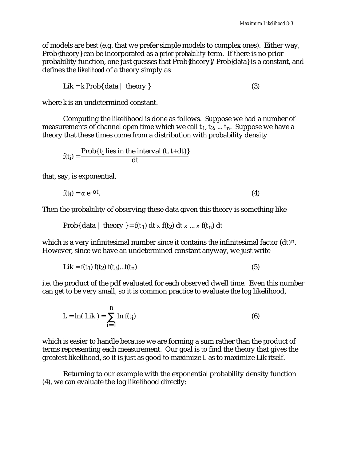of models are best (e.g. that we prefer simple models to complex ones). Either way, Prob{theory} can be incorporated as a *prior probability* term. If there is no prior probability function, one just guesses that Prob{theory}/Prob{data} is a constant, and defines the *likelihood* of a theory simply as

$$
Lik = k \text{Prob} \{ \text{data} \mid \text{theory} \}
$$
 (3)

where *k* is an undetermined constant.

Computing the likelihood is done as follows. Suppose we had a number of measurements of channel open time which we call  $t_1, t_2, \ldots t_n$ . Suppose we have a theory that these times come from a distribution with probability density

$$
f(t_{i}) = \frac{\text{Prob}\{\ t_{i} \text{ lies in the interval } (t, t+dt)\}}{dt}
$$

that, say, is exponential,

$$
f(t_{\mathbf{i}}) = \mathbf{e}^{-t}.\tag{4}
$$

Then the probability of observing these data given this theory is something like

Prob{ data | theory } =  $f(t_1)$  dt x  $f(t_2)$  dt x ... x  $f(t_n)$  dt

which is a very infinitesimal number since it contains the infinitesimal factor (d*t*) n. However, since we have an undetermined constant anyway, we just write

$$
Lik = f(t_1) f(t_2) f(t_3) ... f(t_n)
$$
 (5)

i.e. the product of the pdf evaluated for each observed dwell time. Even this number can get to be very small, so it is common practice to evaluate the log likelihood,

$$
L = \ln(\text{Lik}) = \frac{n}{i=1} \ln f(t_i) \tag{6}
$$

which is easier to handle because we are forming a sum rather than the product of terms representing each measurement. Our goal is to find the theory that gives the greatest likelihood, so it is just as good to maximize *L* as to maximize Lik itself.

Returning to our example with the exponential probability density function (4), we can evaluate the log likelihood directly: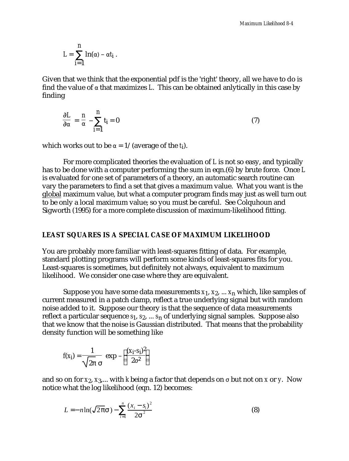$$
L = \frac{n}{i=1} \ln(1) - t_i.
$$

Given that we think that the exponential pdf is the 'right' theory, all we have to do is find the value of that maximizes *L*. This can be obtained anlytically in this case by finding

$$
\frac{L}{m} = \frac{n}{m} - \frac{n}{m}t_i = 0
$$
 (7)

which works out to be  $= 1/(average of the t<sub>i</sub>).$ 

For more complicated theories the evaluation of *L* is not so easy, and typically has to be done with a computer performing the sum in eqn.(6) by brute force. Once *L* is evaluated for one set of parameters of a theory, an automatic search routine can vary the parameters to find a set that gives a maximum value. What you want is the global maximum value, but what a computer program finds may just as well turn out to be only a local maximum value; so you must be careful. See Colquhoun and Sigworth (1995) for a more complete discussion of maximum-likelihood fitting.

#### **LEAST SQUARES IS A SPECIAL CASE OF MAXIMUM LIKELIHOOD**

You are probably more familiar with least-squares fitting of data. For example, standard plotting programs will perform some kinds of least-squares fits for you. Least-squares is sometimes, but definitely not always, equivalent to maximum likelihood. We consider one case where they are equivalent.

Suppose you have some data measurements  $x_1, x_2, \ldots, x_n$  which, like samples of current measured in a patch clamp, reflect a true underlying signal but with random noise added to it. Suppose our theory is that the sequence of data measurements reflect a particular sequence *s*1, *s*2, ... *s*n of underlying signal samples. Suppose also that we know that the noise is Gaussian distributed. That means that the probability density function will be something like

$$
f(x_{i}) = \frac{1}{\sqrt{2}} \exp{-\frac{(x_{i}-s_{i})^{2}}{2^{2}}}
$$

and so on for *x*2, *x*3,... with *k* being a factor that depends on but not on *x* or *y*. Now notice what the log likelihood (eqn. 12) becomes:

$$
L = -n \ln(\sqrt{2}) - \sum_{i=1}^{n} \frac{(x_i - s_i)^2}{2^2}
$$
 (8)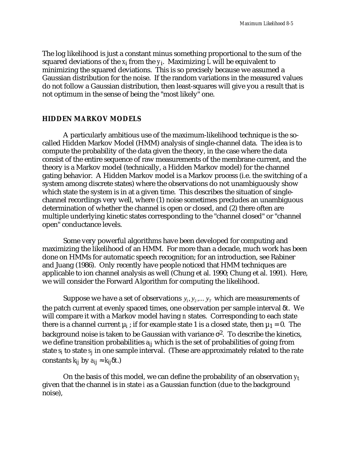The log likelihood is just a constant minus something proportional to the sum of the squared deviations of the *x*i from the *y*i . Maximizing *L* will be equivalent to minimizing the squared deviations. This is so precisely because we assumed a Gaussian distribution for the noise. If the random variations in the measured values do not follow a Gaussian distribution, then least-squares will give you a result that is not optimum in the sense of being the "most likely" one.

# **HIDDEN MARKOV MODELS**

A particularly ambitious use of the maximum-likelihood technique is the socalled Hidden Markov Model (HMM) analysis of single-channel data. The idea is to compute the probability of the data given the theory, in the case where the data consist of the entire sequence of raw measurements of the membrane current, and the theory is a Markov model (technically, a Hidden Markov model) for the channel gating behavior. A Hidden Markov model is a Markov process (i.e. the switching of a system among discrete states) where the observations do not unambiguously show which state the system is in at a given time. This describes the situation of singlechannel recordings very well, where (1) noise sometimes precludes an unambiguous determination of whether the channel is open or closed, and (2) there often are multiple underlying kinetic states corresponding to the "channel closed" or "channel open" conductance levels.

Some very powerful algorithms have been developed for computing and maximizing the likelihood of an HMM. For more than a decade, much work has been done on HMMs for automatic speech recognition; for an introduction, see Rabiner and Juang (1986). Only recently have people noticed that HMM techniques are applicable to ion channel analysis as well (Chung et al. 1990; Chung et al. 1991). Here, we will consider the Forward Algorithm for computing the likelihood.

Suppose we have a set of observations  $y_1, y_2, ... \ y_T$  which are measurements of the patch current at evenly spaced times, one observation per sample interval *t*. We will compare it with a Markov model having *n* states. Corresponding to each state there is a channel current  $\mu_i$  ; if for example state 1 is a closed state, then  $\mu_1$  = 0. The background noise is taken to be Gaussian with variance  $2$ . To describe the kinetics, we define transition probabilities *aij* which is the set of probabilities of going from state *si* to state *sj* in one sample interval. (These are approximately related to the rate constants  $k_{ij}$  by  $a_{ij}$   $k_{ij}$  *t.*)

On the basis of this model, we can define the probability of an observation  $y_t$ given that the channel is in state *i* as a Gaussian function (due to the background noise),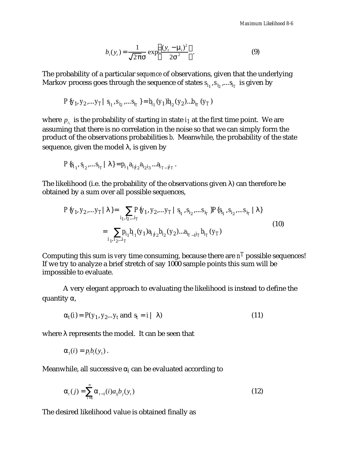$$
b_i(y_t) = \frac{1}{\sqrt{2}} - \exp \frac{(y_t - \mu_i)^2}{2^2} .
$$
 (9)

The probability of a particular *sequence* of observations, given that the underlying Markov process goes through the sequence of states  $s_{i_1}, s_{i_2},...s_{i_T}$  is given by

$$
P\{y_1, y_2, \ldots y_T \mid s_{i_1}, s_{i_2}, \ldots s_{i_T}\} = b_{i_1}(y_1) b_{i_2}(y_2) \ldots b_{i_T}(y_T)
$$

where  $p_{_{i_1}}$  is the probability of starting in state  $i_I$  at the first time point. We are assuming that there is no correlation in the noise so that we can simply form the product of the observations probabilities *b*. Meanwhile, the probability of the state sequence, given the model , is given by

$$
P\{s_{i_1}, s_{i_2}, \dots s_{i_T} \mid \}
$$
 =  $p_{i_1} a_{i_1 i_2} a_{i_2 i_3} \dots a_{i_{T-1} i_T}$ .

The likelihood (i.e. the probability of the observations given ) can therefore be obtained by a sum over all possible sequences,

$$
P\{y_1, y_2, \dots y_T \mid \} = \n P\{y_1, y_2, \dots y_T \mid s_{i_1}, s_{i_2}, \dots s_{i_T} \} P\{s_{i_1}, s_{i_2}, \dots s_{i_T} \mid \}
$$
\n
$$
= \n P\{y_1, y_2, \dots y_T \mid s_{i_1}, s_{i_2}, \dots s_{i_T} \} P\{s_{i_1}, s_{i_2}, \dots s_{i_T} \mid \}
$$
\n
$$
= \n P\{y_1, y_2, \dots y_T \mid s_{i_1}, s_{i_2}, \dots s_{i_T} \} P\{s_{i_1}, s_{i_2}, \dots s_{i_T} \mid \}
$$
\n
$$
(10)
$$

Computing this sum is *very* time consuming, because there are  $n<sup>T</sup>$  possible sequences! If we try to analyze a brief stretch of say 1000 sample points this sum will be impossible to evaluate.

A very elegant approach to evaluating the likelihood is instead to define the quantity ,

$$
t_{t}(i) = P(y_{1}, y_{2}...y_{t} \text{ and } s_{t} = i | ) \tag{11}
$$

where represents the model. It can be seen that

$$
_1(i) = p_i b_i(y_1).
$$

Meanwhile, all successive *i* can be evaluated according to

$$
f_{t}(j) = \sum_{i=1}^{n} (i)a_{ij}b_{j}(y_{t})
$$
 (12)

The desired likelihood value is obtained finally as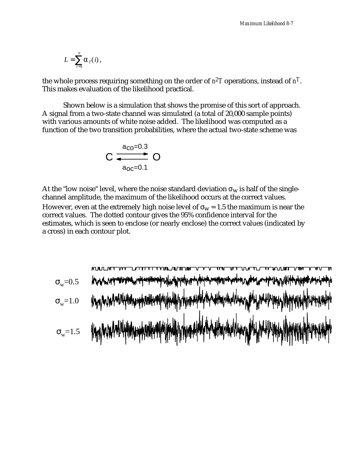$$
L=\bigcup_{i=1}^n \tau(i),
$$

the whole process requiring something on the order of *n2T* operations, instead of *nT*. This makes evaluation of the likelihood practical.

Shown below is a simulation that shows the promise of this sort of approach. A signal from a two-state channel was simulated (a total of 20,000 sample points) with various amounts of white noise added. The likelihood was computed as a function of the two transition probabilities, where the actual two-state scheme was

$$
C \xrightarrow[a_{\text{CO}}=0.3]{a_{\text{CO}}=0.3}
$$

At the "low noise" level, where the noise standard deviation  $w$  is half of the singlechannel amplitude, the maximum of the likelihood occurs at the correct values. However, even at the extremely high noise level of  $w = 1.5$  the maximum is near the correct values. The dotted contour gives the 95% confidence interval for the estimates, which is seen to enclose (or nearly enclose) the correct values (indicated by a cross) in each contour plot.

w=0.5<sup>w</sup>=1.0 <sup>w</sup>=1.5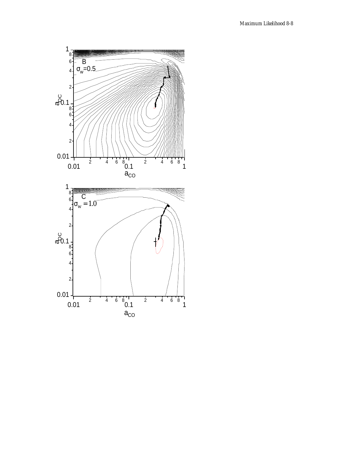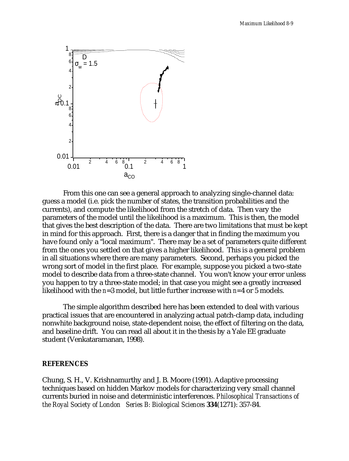

From this one can see a general approach to analyzing single-channel data: guess a model (i.e. pick the number of states, the transition probabilities and the currents), and compute the likelihood from the stretch of data. Then vary the parameters of the model until the likelihood is a maximum. This is then, the model that gives the best description of the data. There are two limitations that must be kept in mind for this approach. First, there is a danger that in finding the maximum you have found only a "local maximum". There may be a set of parameters quite different from the ones you settled on that gives a higher likelihood. This is a general problem in all situations where there are many parameters. Second, perhaps you picked the wrong sort of model in the first place. For example, suppose you picked a two-state model to describe data from a three-state channel. You won't know your error unless you happen to try a three-state model; in that case you might see a greatly increased likelihood with the *n*=3 model, but little further increase with *n=*4 or 5 models.

The simple algorithm described here has been extended to deal with various practical issues that are encountered in analyzing actual patch-clamp data, including nonwhite background noise, state-dependent noise, the effect of filtering on the data, and baseline drift. You can read all about it in the thesis by a Yale EE graduate student (Venkataramanan, 1998).

## **REFERENCES**

Chung, S. H., V. Krishnamurthy and J. B. Moore (1991). Adaptive processing techniques based on hidden Markov models for characterizing very small channel currents buried in noise and deterministic interferences. *Philosophical Transactions of the Royal Society of London Series B: Biological Sciences* **334**(1271): 357-84.